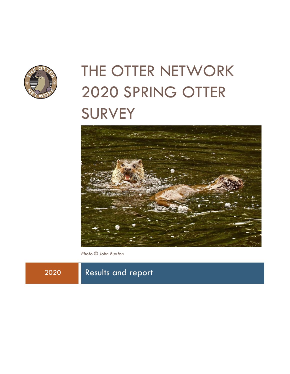

# THE OTTER NETWORK 2020 SPRING OTTER **SURVEY**



*Photo © John Buxton*

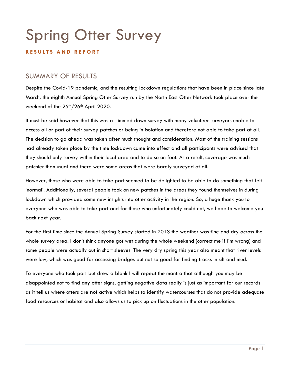# Spring Otter Survey

#### **R E S U L T S A N D R E P O R T**

# SUMMARY OF RESULTS

Despite the Covid-19 pandemic, and the resulting lockdown regulations that have been in place since late March, the eighth Annual Spring Otter Survey run by the North East Otter Network took place over the weekend of the 25<sup>th</sup>/26<sup>th</sup> April 2020.

It must be said however that this was a slimmed down survey with many volunteer surveyors unable to access all or part of their survey patches or being in isolation and therefore not able to take part at all. The decision to go ahead was taken after much thought and consideration. Most of the training sessions had already taken place by the time lockdown came into effect and all participants were advised that they should only survey within their local area and to do so on foot. As a result, coverage was much patchier than usual and there were some areas that were barely surveyed at all.

However, those who were able to take part seemed to be delighted to be able to do something that felt 'normal'. Additionally, several people took on new patches in the areas they found themselves in during lockdown which provided some new insights into otter activity in the region. So, a huge thank you to everyone who was able to take part and for those who unfortunately could not, we hope to welcome you back next year.

For the first time since the Annual Spring Survey started in 2013 the weather was fine and dry across the whole survey area. I don't think anyone got wet during the whole weekend (correct me if I'm wrong) and some people were actually out in short sleeves! The very dry spring this year also meant that river levels were low, which was good for accessing bridges but not so good for finding tracks in silt and mud.

To everyone who took part but drew a blank I will repeat the mantra that although you may be disappointed not to find any otter signs, getting negative data really is just as important for our records as it tell us where otters are **not** active which helps to identify watercourses that do not provide adequate food resources or habitat and also allows us to pick up on fluctuations in the otter population.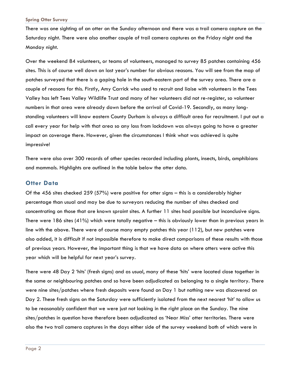There was one sighting of an otter on the Sunday afternoon and there was a trail camera capture on the Saturday night. There were also another couple of trail camera captures on the Friday night and the Monday night.

Over the weekend 84 volunteers, or teams of volunteers, managed to survey 85 patches containing 456 sites. This is of course well down on last year's number for obvious reasons. You will see from the map of patches surveyed that there is a gaping hole in the south-eastern part of the survey area. There are a couple of reasons for this. Firstly, Amy Carrick who used to recruit and liaise with volunteers in the Tees Valley has left Tees Valley Wildlife Trust and many of her volunteers did not re-register, so volunteer numbers in that area were already down before the arrival of Covid-19. Secondly, as many longstanding volunteers will know eastern County Durham is always a difficult area for recruitment. I put out a call every year for help with that area so any loss from lockdown was always going to have a greater impact on coverage there. However, given the circumstances I think what was achieved is quite impressive!

There were also over 300 records of other species recorded including plants, insects, birds, amphibians and mammals. Highlights are outlined in the table below the otter data.

#### **Otter Data**

Of the 456 sites checked 259 (57%) were positive for otter signs – this is a considerably higher percentage than usual and may be due to surveyors reducing the number of sites checked and concentrating on those that are known spraint sites. A further 11 sites had possible but inconclusive signs. There were 186 sites (41%) which were totally negative – this is obviously lower than in previous years in line with the above. There were of course many empty patches this year (112), but new patches were also added, it is difficult if not impossible therefore to make direct comparisons of these results with those of previous years. However, the important thing is that we have data on where otters were active this year which will be helpful for next year's survey.

There were 48 Day 2 'hits' (fresh signs) and as usual, many of these 'hits' were located close together in the same or neighbouring patches and so have been adjudicated as belonging to a single territory. There were nine sites/patches where fresh deposits were found on Day 1 but nothing new was discovered on Day 2. These fresh signs on the Saturday were sufficiently isolated from the next nearest 'hit' to allow us to be reasonably confident that we were just not looking in the right place on the Sunday. The nine sites/patches in question have therefore been adjudicated as 'Near Miss' otter territories. There were also the two trail camera captures in the days either side of the survey weekend both of which were in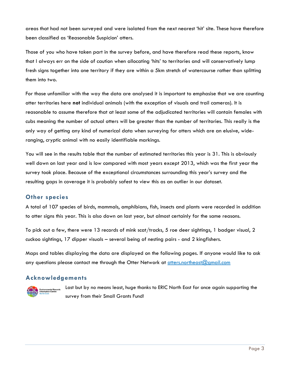areas that had not been surveyed and were isolated from the next nearest 'hit' site. These have therefore been classified as 'Reasonable Suspicion' otters.

Those of you who have taken part in the survey before, and have therefore read these reports, know that I always err on the side of caution when allocating 'hits' to territories and will conservatively lump fresh signs together into one territory if they are within a 5km stretch of watercourse rather than splitting them into two.

For those unfamiliar with the way the data are analysed it is important to emphasise that we are counting otter territories here **not** individual animals (with the exception of visuals and trail cameras). It is reasonable to assume therefore that at least some of the adjudicated territories will contain females with cubs meaning the number of actual otters will be greater than the number of territories. This really is the only way of getting any kind of numerical data when surveying for otters which are an elusive, wideranging, cryptic animal with no easily identifiable markings.

You will see in the results table that the number of estimated territories this year is 31. This is obviously well down on last year and is low compared with most years except 2013, which was the first year the survey took place. Because of the exceptional circumstances surrounding this year's survey and the resulting gaps in coverage it is probably safest to view this as an outlier in our dataset.

#### **Other species**

A total of 107 species of birds, mammals, amphibians, fish, insects and plants were recorded in addition to otter signs this year. This is also down on last year, but almost certainly for the same reasons.

To pick out a few, there were 13 records of mink scat/tracks, 5 roe deer sightings, 1 badger visual, 2 cuckoo sightings, 17 dipper visuals – several being of nesting pairs - and 2 kingfishers.

Maps and tables displaying the data are displayed on the following pages. If anyone would like to ask any questions please contact me through the Otter Network at [otters.northeast@gmail.com](mailto:otters.northeast@gmail.com)

#### **Acknowledgements**

**Example 12 Environmental Records**<br>The Information Centre

Last but by no means least, huge thanks to ERIC North East for once again supporting the survey from their Small Grants Fund!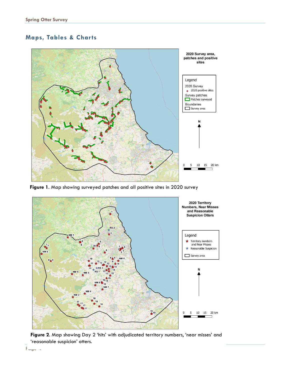## **Maps, Tables & Charts**



**Figure 1**. Map showing surveyed patches and all positive sites in 2020 survey



**Figure 2**. Map showing Day 2 'hits' with adjudicated territory numbers, 'near misses' and 'reasonable suspicion' otters.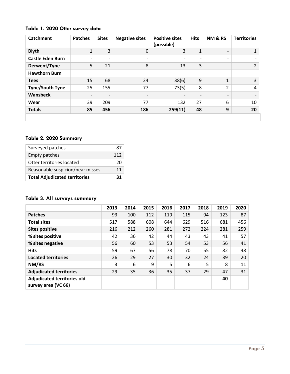#### **Table 1. 2020 Otter survey data**

| <b>Catchment</b>        | <b>Patches</b>           | <b>Sites</b>             | <b>Negative sites</b>    | <b>Positive sites</b><br>(possible) | <b>Hits</b>              | NM & RS                  | <b>Territories</b> |
|-------------------------|--------------------------|--------------------------|--------------------------|-------------------------------------|--------------------------|--------------------------|--------------------|
| <b>Blyth</b>            | $\mathbf{1}$             | 3                        | $\mathbf 0$              | 3                                   | 1                        | $\overline{\phantom{0}}$ | 1                  |
| <b>Castle Eden Burn</b> | $\overline{\phantom{a}}$ | $\overline{\phantom{a}}$ | $\overline{\phantom{a}}$ | $\overline{\phantom{0}}$            | $\overline{\phantom{0}}$ | $\overline{\phantom{a}}$ |                    |
| Derwent/Tyne            | 5                        | 21                       | 8                        | 13                                  | 3                        |                          | $2^{\circ}$        |
| <b>Hawthorn Burn</b>    |                          |                          |                          |                                     |                          |                          |                    |
| <b>Tees</b>             | 15                       | 68                       | 24                       | 38(6)                               | 9                        | 1                        | $\overline{3}$     |
| <b>Tyne/South Tyne</b>  | 25                       | 155                      | 77                       | 73(5)                               | 8                        | $\overline{2}$           | 4                  |
| Wansbeck                | $\overline{\phantom{a}}$ | $\overline{\phantom{0}}$ | $\overline{\phantom{a}}$ | $\qquad \qquad \blacksquare$        | $\overline{\phantom{0}}$ | $\overline{\phantom{0}}$ |                    |
| Wear                    | 39                       | 209                      | 77                       | 132                                 | 27                       | 6                        | 10                 |
| <b>Totals</b>           | 85                       | 456                      | 186                      | 259(11)                             | 48                       | 9                        | 20                 |
|                         |                          |                          |                          |                                     |                          |                          |                    |

#### **Table 2. 2020 Summary**

| Surveyed patches                     | 87  |
|--------------------------------------|-----|
| <b>Empty patches</b>                 | 112 |
| Otter territories located            | 20  |
| Reasonable suspicion/near misses     | 11  |
| <b>Total Adjudicated territories</b> | 31  |

#### **Table 3. All surveys summary**

|                                                           | 2013 | 2014 | 2015 | 2016 | 2017 | 2018 | 2019 | 2020 |
|-----------------------------------------------------------|------|------|------|------|------|------|------|------|
| <b>Patches</b>                                            | 93   | 100  | 112  | 119  | 115  | 94   | 123  | 87   |
| <b>Total sites</b>                                        | 517  | 588  | 608  | 644  | 629  | 516  | 681  | 456  |
| <b>Sites positive</b>                                     | 216  | 212  | 260  | 281  | 272  | 224  | 281  | 259  |
| % sites positive                                          | 42   | 36   | 42   | 44   | 43   | 43   | 41   | 57   |
| % sites negative                                          | 56   | 60   | 53   | 53   | 54   | 53   | 56   | 41   |
| <b>Hits</b>                                               | 59   | 67   | 56   | 78   | 70   | 55   | 82   | 48   |
| <b>Located territories</b>                                | 26   | 29   | 27   | 30   | 32   | 24   | 39   | 20   |
| NM/RS                                                     | 3    | 6    | 9    | 5    | 6    | 5    | 8    | 11   |
| <b>Adjudicated territories</b>                            | 29   | 35   | 36   | 35   | 37   | 29   | 47   | 31   |
| <b>Adjudicated territories old</b><br>survey area (VC 66) |      |      |      |      |      |      | 40   |      |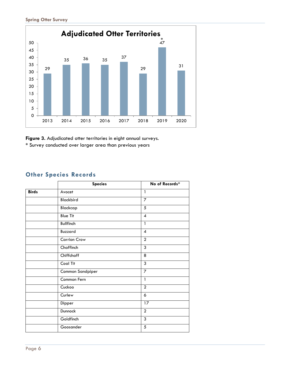

**Figure 3.** Adjudicated otter territories in eight annual surveys.

**\*** Survey conducted over larger area than previous years

### **Other Species Records**

|              | <b>Species</b>      | No of Records*   |
|--------------|---------------------|------------------|
| <b>Birds</b> | Avocet              | $\mathbf{1}$     |
|              | Blackbird           | $\overline{7}$   |
|              | Blackcap            | 5                |
|              | <b>Blue Tit</b>     | $\boldsymbol{4}$ |
|              | <b>Bullfinch</b>    | $\mathbf{1}$     |
|              | Buzzard             | $\overline{4}$   |
|              | <b>Carrion Crow</b> | $\overline{2}$   |
|              | Chaffinch           | 3                |
|              | Chiffchaff          | 8                |
|              | Coal Tit            | 3                |
|              | Common Sandpiper    | $\overline{7}$   |
|              | Common Fern         | $\mathbf{1}$     |
|              | Cuckoo              | $\overline{2}$   |
|              | Curlew              | 6                |
|              | Dipper              | $\overline{17}$  |
|              | Dunnock             | $\overline{2}$   |
|              | Goldfinch           | 3                |
|              | Goosander           | $\sqrt{5}$       |
|              |                     |                  |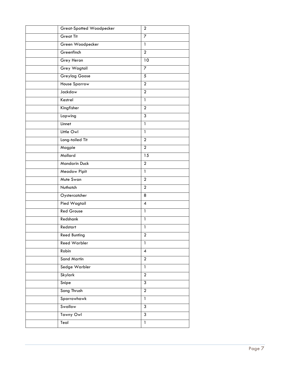| <b>Great-Spotted Woodpecker</b> | $\overline{2}$  |
|---------------------------------|-----------------|
| <b>Great Tit</b>                | $\overline{7}$  |
| Green Woodpecker                | $\mathbf{1}$    |
| Greenfinch                      | $\overline{2}$  |
| Grey Heron                      | $\overline{10}$ |
| Grey Wagtail                    | 7               |
| <b>Greylag Goose</b>            | 5               |
| <b>House Sparrow</b>            | $\overline{2}$  |
| Jackdaw                         | $\overline{2}$  |
| Kestrel                         | $\mathbf{1}$    |
| Kingfisher                      | $\overline{2}$  |
| Lapwing                         | $\overline{3}$  |
| Linnet                          | $\mathbf{1}$    |
| Little Owl                      | $\mathbf{1}$    |
| Long-tailed Tit                 | $\overline{a}$  |
| Magpie                          | $\overline{2}$  |
| Mallard                         | 15              |
| <b>Mandarin Duck</b>            | $\overline{2}$  |
| Meadow Pipit                    | $\mathbf{1}$    |
| Mute Swan                       | $\overline{2}$  |
| Nuthatch                        | $\overline{2}$  |
| Oystercatcher                   | 8               |
| Pied Wagtail                    | $\overline{4}$  |
| <b>Red Grouse</b>               | $\mathbf{1}$    |
| Redshank                        | $\mathbf{1}$    |
| Redstart                        | $\mathbf{1}$    |
| <b>Reed Bunting</b>             | $\overline{2}$  |
| <b>Reed Warbler</b>             | $\mathbf{1}$    |
| Robin                           | $\overline{4}$  |
| <b>Sand Martin</b>              | $\overline{2}$  |
| Sedge Warbler                   | $\mathbf{1}$    |
| Skylark                         | $\overline{2}$  |
| Snipe                           | $\mathfrak{Z}$  |
| Song Thrush                     | $\overline{2}$  |
| Sparrowhawk                     | $\mathbf{1}$    |
| Swallow                         | $\overline{3}$  |
| Tawny Owl                       | $\overline{3}$  |
| Teal                            | $\overline{1}$  |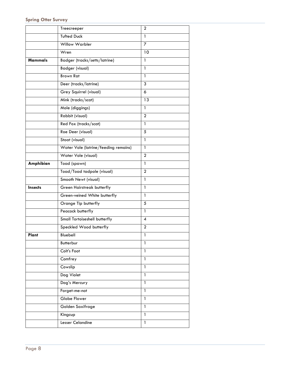|                | Treecreeper                          | $\overline{2}$           |
|----------------|--------------------------------------|--------------------------|
|                | <b>Tufted Duck</b>                   | $\mathbf{1}$             |
|                | <b>Willow Warbler</b>                | $\overline{7}$           |
|                | Wren                                 | 10                       |
| <b>Mammals</b> | Badger (tracks/setts/latrine)        | 1                        |
|                | <b>Badger (visual)</b>               | 1                        |
|                | <b>Brown Rat</b>                     | 1                        |
|                | Deer (tracks/latrine)                | 3                        |
|                | Grey Squirrel (visual)               | 6                        |
|                | Mink (tracks/scat)                   | 13                       |
|                | Mole (diggings)                      | 1                        |
|                | Rabbit (visual)                      | $\mathbf{2}$             |
|                | Red Fox (tracks/scat)                | 1                        |
|                | Roe Deer (visual)                    | 5                        |
|                | Stoat (visual)                       | 1                        |
|                | Water Vole (latrine/feeding remains) | 1                        |
|                | Water Vole (visual)                  | $\overline{2}$           |
| Amphibian      | Toad (spawn)                         | 1                        |
|                | Toad/Toad tadpole (visual)           | $\mathbf{2}$             |
|                | Smooth Newt (visual)                 | $\mathbf{1}$             |
| <b>Insects</b> | <b>Green Hairstreak butterfly</b>    | 1                        |
|                | Green-veined White butterfly         | 1                        |
|                | Orange Tip butterfly                 | 5                        |
|                | Peacock butterfly                    | 1                        |
|                | Small Tortoiseshell butterfly        | $\overline{\mathcal{A}}$ |
|                | Speckled Wood butterfly              | $\mathbf{2}$             |
| Plant          | Bluebell                             | 1                        |
|                | Butterbur                            | 1                        |
|                | Colt's Foot                          | $\mathbf{1}$             |
|                | Comfrey                              | $\overline{1}$           |
|                | Cowslip                              | $\mathbf{1}$             |
|                | Dog Violet                           | $\mathbf{1}$             |
|                | Dog's Mercury                        | $\mathbf{1}$             |
|                | Forget-me-not                        | $\mathbf{1}$             |
|                | Globe Flower                         | $\mathbf{1}$             |
|                | Golden Saxifrage                     | $\mathbf{1}$             |
|                | Kingcup                              | $\mathbf{1}$             |
|                | Lesser Celandine                     | $\mathbf{1}$             |